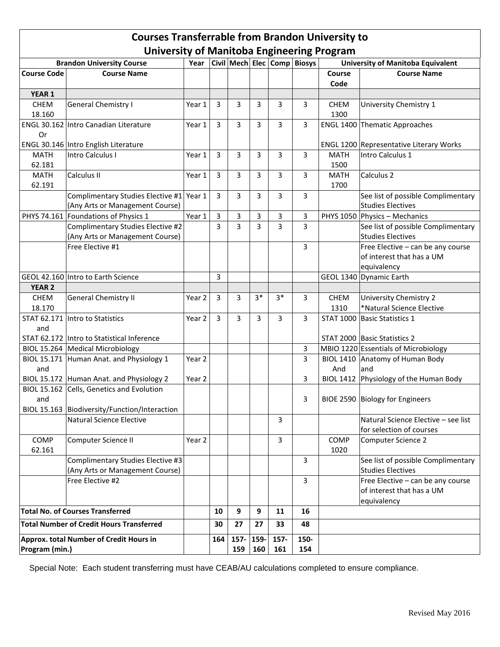## **Courses Transferrable from Brandon University to University of Manitoba Engineering Program**

| <b>Brandon University Course</b>                |                                                          |        |                |                |           |              | .<br>Year   Civil   Mech   Elec   Comp   Biosys | <b>University of Manitoba Equivalent</b> |                                                |
|-------------------------------------------------|----------------------------------------------------------|--------|----------------|----------------|-----------|--------------|-------------------------------------------------|------------------------------------------|------------------------------------------------|
| <b>Course Code</b><br><b>Course Name</b>        |                                                          |        |                |                |           |              |                                                 | Course                                   | <b>Course Name</b>                             |
|                                                 |                                                          |        |                |                |           |              |                                                 | Code                                     |                                                |
| YEAR 1                                          |                                                          |        |                |                |           |              |                                                 |                                          |                                                |
| CHEM                                            | General Chemistry I                                      | Year 1 | 3              | 3              | 3         | 3            | 3                                               | CHEM                                     | University Chemistry 1                         |
| 18.160                                          |                                                          |        |                |                |           |              |                                                 | 1300                                     |                                                |
|                                                 | ENGL 30.162 Intro Canadian Literature                    | Year 1 | 3              | 3              | 3         | 3            | 3                                               |                                          | <b>ENGL 1400 Thematic Approaches</b>           |
| Or                                              |                                                          |        |                |                |           |              |                                                 |                                          |                                                |
|                                                 |                                                          |        |                |                |           |              |                                                 |                                          | <b>ENGL 1200 Representative Literary Works</b> |
| <b>MATH</b>                                     | ENGL 30.146 Intro English Literature<br>Intro Calculus I |        |                |                |           |              |                                                 | <b>MATH</b>                              | Intro Calculus 1                               |
| 62.181                                          |                                                          | Year 1 | 3              | 3              | 3         | 3            | 3                                               | 1500                                     |                                                |
| <b>MATH</b>                                     | Calculus II                                              |        |                | 3              |           |              |                                                 | <b>MATH</b>                              | Calculus <sub>2</sub>                          |
|                                                 |                                                          | Year 1 | 3              |                | 3         | 3            | 3                                               |                                          |                                                |
| 62.191                                          |                                                          |        |                |                |           |              |                                                 | 1700                                     |                                                |
|                                                 | Complimentary Studies Elective #1 Year 1                 |        | 3              | 3              | 3         | 3            | 3                                               |                                          | See list of possible Complimentary             |
|                                                 | (Any Arts or Management Course)                          |        |                |                |           |              |                                                 |                                          | <b>Studies Electives</b>                       |
|                                                 | PHYS 74.161 Foundations of Physics 1                     | Year 1 | $\overline{3}$ | 3              | 3         | 3            | 3                                               |                                          | PHYS 1050 Physics - Mechanics                  |
|                                                 | Complimentary Studies Elective #2                        |        | 3              | $\overline{3}$ | 3         | 3            | 3                                               |                                          | See list of possible Complimentary             |
|                                                 | (Any Arts or Management Course)                          |        |                |                |           |              |                                                 |                                          | <b>Studies Electives</b>                       |
|                                                 | Free Elective #1                                         |        |                |                |           |              | 3                                               |                                          | Free Elective - can be any course              |
|                                                 |                                                          |        |                |                |           |              |                                                 |                                          | of interest that has a UM                      |
|                                                 |                                                          |        |                |                |           |              |                                                 |                                          | equivalency                                    |
|                                                 | GEOL 42.160 Intro to Earth Science                       |        | 3              |                |           |              |                                                 |                                          | GEOL 1340 Dynamic Earth                        |
| <b>YEAR 2</b>                                   |                                                          |        |                |                |           |              |                                                 |                                          |                                                |
| CHEM                                            | General Chemistry II                                     | Year 2 | 3              | 3              | $3*$      | $3*$         | 3                                               | CHEM                                     | University Chemistry 2                         |
| 18.170                                          |                                                          |        |                |                |           |              |                                                 | 1310                                     | *Natural Science Elective                      |
|                                                 | STAT 62.171 Intro to Statistics                          | Year 2 | 3              | 3              | 3         | 3            | 3                                               |                                          | STAT 1000 Basic Statistics 1                   |
| and                                             |                                                          |        |                |                |           |              |                                                 |                                          |                                                |
|                                                 | STAT 62.172 Intro to Statistical Inference               |        |                |                |           |              |                                                 |                                          | STAT 2000 Basic Statistics 2                   |
|                                                 | BIOL 15.264 Medical Microbiology                         |        |                |                |           |              | 3                                               |                                          | MBIO 1220 Essentials of Microbiology           |
|                                                 | BIOL 15.171 Human Anat. and Physiology 1                 | Year 2 |                |                |           |              | 3                                               |                                          | BIOL 1410 Anatomy of Human Body                |
| and                                             |                                                          |        |                |                |           |              |                                                 | And                                      | and                                            |
|                                                 | BIOL 15.172 Human Anat. and Physiology 2                 | Year 2 |                |                |           |              | 3                                               |                                          | BIOL 1412 Physiology of the Human Body         |
|                                                 | BIOL 15.162 Cells, Genetics and Evolution                |        |                |                |           |              |                                                 |                                          |                                                |
| and                                             |                                                          |        |                |                |           |              | 3                                               |                                          | BIOE 2590 Biology for Engineers                |
|                                                 | BIOL 15.163   Biodiversity/Function/Interaction          |        |                |                |           |              |                                                 |                                          |                                                |
|                                                 | Natural Science Elective                                 |        |                |                |           | 3            |                                                 |                                          | Natural Science Elective – see list            |
|                                                 |                                                          |        |                |                |           |              |                                                 |                                          | for selection of courses                       |
| COMP                                            | Computer Science II                                      | Year 2 |                |                |           | $\mathbf{3}$ |                                                 | COMP                                     | Computer Science 2                             |
| 62.161                                          |                                                          |        |                |                |           |              |                                                 | 1020                                     |                                                |
|                                                 | Complimentary Studies Elective #3                        |        |                |                |           |              | 3                                               |                                          | See list of possible Complimentary             |
|                                                 | (Any Arts or Management Course)                          |        |                |                |           |              |                                                 |                                          | <b>Studies Electives</b>                       |
|                                                 | Free Elective #2                                         |        |                |                |           |              | 3                                               |                                          | Free Elective - can be any course              |
|                                                 |                                                          |        |                |                |           |              |                                                 |                                          | of interest that has a UM                      |
|                                                 |                                                          |        |                |                |           |              |                                                 |                                          | equivalency                                    |
| <b>Total No. of Courses Transferred</b>         |                                                          |        | 10             | 9              | 9         | 11           | 16                                              |                                          |                                                |
| <b>Total Number of Credit Hours Transferred</b> |                                                          |        | 30             | 27             | 27        | 33           | 48                                              |                                          |                                                |
| Approx. total Number of Credit Hours in         |                                                          |        | 164            | 157- 159-      |           | 157-         | 150-                                            |                                          |                                                |
| Program (min.)                                  |                                                          |        |                |                | 159   160 | 161          | 154                                             |                                          |                                                |
|                                                 |                                                          |        |                |                |           |              |                                                 |                                          |                                                |

Special Note: Each student transferring must have CEAB/AU calculations completed to ensure compliance.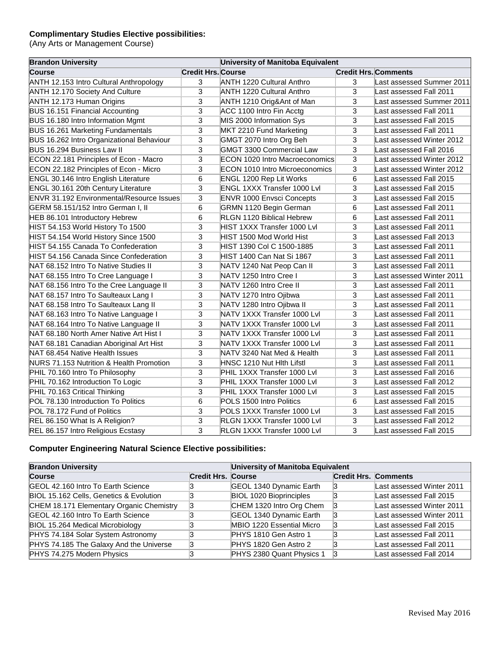## **Complimentary Studies Elective possibilities:**

(Any Arts or Management Course)

| <b>Brandon University</b>                        | University of Manitoba Equivalent |                                       |                |                             |  |
|--------------------------------------------------|-----------------------------------|---------------------------------------|----------------|-----------------------------|--|
| <b>Course</b>                                    | <b>Credit Hrs. Course</b>         |                                       |                | <b>Credit Hrs. Comments</b> |  |
| <b>ANTH 12.153 Intro Cultural Anthropology</b>   | 3                                 | <b>ANTH 1220 Cultural Anthro</b>      | 3              | Last assessed Summer 2011   |  |
| <b>ANTH 12.170 Society And Culture</b>           | 3                                 | <b>ANTH 1220 Cultural Anthro</b>      | 3              | Last assessed Fall 2011     |  |
| ANTH 12.173 Human Origins                        | 3                                 | ANTH 1210 Orig&Ant of Man             | 3              | Last assessed Summer 2011   |  |
| BUS 16.151 Financial Accounting                  | 3                                 | ACC 1100 Intro Fin Acctg              | 3              | Last assessed Fall 2011     |  |
| BUS 16.180 Intro Information Mgmt                | 3                                 | MIS 2000 Information Sys              | 3              | Last assessed Fall 2015     |  |
| BUS 16.261 Marketing Fundamentals                | $\overline{3}$                    | MKT 2210 Fund Marketing               | $\overline{3}$ | Last assessed Fall 2011     |  |
| BUS 16.262 Intro Organizational Behaviour        | 3                                 | GMGT 2070 Intro Org Beh               | 3              | Last assessed Winter 2012   |  |
| BUS 16.294 Business Law II                       | 3                                 | GMGT 3300 Commercial Law              | 3              | Last assessed Fall 2016     |  |
| ECON 22.181 Principles of Econ - Macro           | 3                                 | ECON 1020 Intro Macroeconomics        | 3              | Last assessed Winter 2012   |  |
| ECON 22.182 Principles of Econ - Micro           | 3                                 | <b>ECON 1010 Intro Microeconomics</b> | 3              | Last assessed Winter 2012   |  |
| ENGL 30.146 Intro English Literature             | $6\phantom{1}6$                   | ENGL 1200 Rep Lit Works               | 6              | Last assessed Fall 2015     |  |
| ENGL 30.161 20th Century Literature              | 3                                 | ENGL 1XXX Transfer 1000 Lvl           | 3              | Last assessed Fall 2015     |  |
| <b>ENVR 31.192 Environmental/Resource Issues</b> | $\overline{3}$                    | <b>ENVR 1000 Envsci Concepts</b>      | $\overline{3}$ | Last assessed Fall 2015     |  |
| GERM 58.151/152 Intro German I, II               | 6                                 | GRMN 1120 Begin German                | 6              | Last assessed Fall 2011     |  |
| HEB 86.101 Introductory Hebrew                   | 6                                 | <b>RLGN 1120 Biblical Hebrew</b>      | 6              | Last assessed Fall 2011     |  |
| HIST 54.153 World History To 1500                | 3                                 | HIST 1XXX Transfer 1000 Lvl           | 3              | Last assessed Fall 2011     |  |
| HIST 54.154 World History Since 1500             | 3                                 | HIST 1500 Mod World Hist              | 3              | Last assessed Fall 2013     |  |
| HIST 54.155 Canada To Confederation              | 3                                 | HIST 1390 Col C 1500-1885             | 3              | Last assessed Fall 2011     |  |
| HIST 54.156 Canada Since Confederation           | $\overline{3}$                    | HIST 1400 Can Nat Si 1867             | 3              | Last assessed Fall 2011     |  |
| INAT 68.152 Intro To Native Studies II           | 3                                 | NATV 1240 Nat Peop Can II             | 3              | Last assessed Fall 2011     |  |
| NAT 68.155 Intro To Cree Language I              | 3                                 | INATV 1250 Intro Cree I               | 3              | Last assessed Winter 2011   |  |
| NAT 68.156 Intro To the Cree Language II         | 3                                 | NATV 1260 Intro Cree II               | 3              | Last assessed Fall 2011     |  |
| NAT 68.157 Intro To Saulteaux Lang I             | 3                                 | NATV 1270 Intro Ojibwa                | 3              | Last assessed Fall 2011     |  |
| NAT 68.158 Intro To Saulteaux Lang II            | $\overline{3}$                    | NATV 1280 Intro Ojibwa II             | 3              | Last assessed Fall 2011     |  |
| NAT 68.163 Intro To Native Language I            | 3                                 | NATV 1XXX Transfer 1000 Lvl           | 3              | Last assessed Fall 2011     |  |
| NAT 68.164 Intro To Native Language II           | 3                                 | NATV 1XXX Transfer 1000 Lvl           | 3              | Last assessed Fall 2011     |  |
| NAT 68.180 North Amer Native Art Hist I          | 3                                 | NATV 1XXX Transfer 1000 Lvl           | 3              | Last assessed Fall 2011     |  |
| NAT 68.181 Canadian Aboriginal Art Hist          | 3                                 | NATV 1XXX Transfer 1000 Lvl           | $\overline{3}$ | Last assessed Fall 2011     |  |
| NAT 68.454 Native Health Issues                  | 3                                 | NATV 3240 Nat Med & Health            | 3              | Last assessed Fall 2011     |  |
| NURS 71.153 Nutrition & Health Promotion         | 3                                 | HNSC 1210 Nut Hith Lifstl             | 3              | Last assessed Fall 2011     |  |
| PHIL 70.160 Intro To Philosophy                  | 3                                 | PHIL 1XXX Transfer 1000 Lvl           | 3              | Last assessed Fall 2016     |  |
| PHIL 70.162 Introduction To Logic                | 3                                 | PHIL 1XXX Transfer 1000 Lvl           | 3              | Last assessed Fall 2012     |  |
| PHIL 70.163 Critical Thinking                    | 3                                 | PHIL 1XXX Transfer 1000 Lvl           | 3              | Last assessed Fall 2015     |  |
| POL 78.130 Introduction To Politics              | 6                                 | POLS 1500 Intro Politics              | 6              | Last assessed Fall 2015     |  |
| POL 78.172 Fund of Politics                      | 3                                 | POLS 1XXX Transfer 1000 Lvl           | 3              | Last assessed Fall 2015     |  |
| REL 86.150 What Is A Religion?                   | 3                                 | RLGN 1XXX Transfer 1000 Lvl           | 3              | Last assessed Fall 2012     |  |
| REL 86.157 Intro Religious Ecstasy               | 3                                 | RLGN 1XXX Transfer 1000 Lvl           | 3              | Last assessed Fall 2015     |  |

## **Computer Engineering Natural Science Elective possibilities:**

| <b>Brandon University</b>                 |                           | University of Manitoba Equivalent |                             |                           |  |
|-------------------------------------------|---------------------------|-----------------------------------|-----------------------------|---------------------------|--|
| <b>Course</b>                             | <b>Credit Hrs. Course</b> |                                   | <b>Credit Hrs. Comments</b> |                           |  |
| <b>GEOL 42.160 Intro To Earth Science</b> |                           | GEOL 1340 Dynamic Earth           | 13                          | Last assessed Winter 2011 |  |
| BIOL 15.162 Cells, Genetics & Evolution   |                           | <b>BIOL 1020 Bioprinciples</b>    | 13                          | Last assessed Fall 2015   |  |
| CHEM 18.171 Elementary Organic Chemistry  | 13                        | CHEM 1320 Intro Org Chem          | 13                          | Last assessed Winter 2011 |  |
| GEOL 42.160 Intro To Earth Science        |                           | GEOL 1340 Dynamic Earth           | 13                          | Last assessed Winter 2011 |  |
| BIOL 15.264 Medical Microbiology          |                           | MBIO 1220 Essential Micro         | ß                           | Last assessed Fall 2015   |  |
| PHYS 74.184 Solar System Astronomy        |                           | PHYS 1810 Gen Astro 1             |                             | Last assessed Fall 2011   |  |
| PHYS 74.185 The Galaxy And the Universe   |                           | PHYS 1820 Gen Astro 2             |                             | Last assessed Fall 2011   |  |
| PHYS 74.275 Modern Physics                |                           | PHYS 2380 Quant Physics 1         |                             | Last assessed Fall 2014   |  |